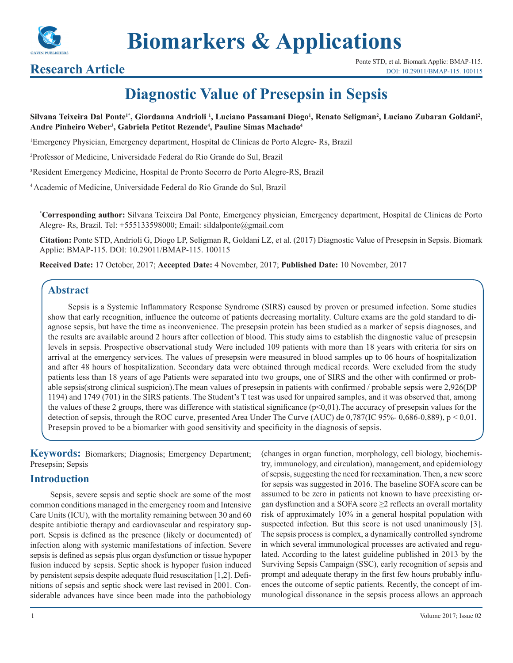

**Biomarkers & Applications**

# **Diagnostic Value of Presepsin in Sepsis**

Silvana Teixeira Dal Ponte<sup>r</sup>', Giordanna Andrioli <sup>1</sup>, Luciano Passamani Diogo<sup>1</sup>, Renato Seligman<sup>2</sup>, Luciano Zubaran Goldani<sup>2</sup>, **Andre Pinheiro Weber3 , Gabriela Petitot Rezende4 , Pauline Simas Machado4**

1 Emergency Physician, Emergency department, Hospital de Clinicas de Porto Alegre- Rs, Brazil

2 Professor of Medicine, Universidade Federal do Rio Grande do Sul, Brazil

³Resident Emergency Medicine, Hospital de Pronto Socorro de Porto Alegre-RS, Brazil

4 Academic of Medicine, Universidade Federal do Rio Grande do Sul, Brazil

**\* Corresponding author:** Silvana Teixeira Dal Ponte, Emergency physician, Emergency department, Hospital de Clinicas de Porto Alegre- Rs, Brazil. Tel: +555133598000; Email: sildalponte@gmail.com

**Citation:** Ponte STD, Andrioli G, Diogo LP, Seligman R, Goldani LZ, et al. (2017) Diagnostic Value of Presepsin in Sepsis. Biomark Applic: BMAP-115. DOI: 10.29011/BMAP-115. 100115

**Received Date:** 17 October, 2017; **Accepted Date:** 4 November, 2017; **Published Date:** 10 November, 2017

# **Abstract**

Sepsis is a Systemic Inflammatory Response Syndrome (SIRS) caused by proven or presumed infection. Some studies show that early recognition, influence the outcome of patients decreasing mortality. Culture exams are the gold standard to diagnose sepsis, but have the time as inconvenience. The presepsin protein has been studied as a marker of sepsis diagnoses, and the results are available around 2 hours after collection of blood. This study aims to establish the diagnostic value of presepsin levels in sepsis. Prospective observational study Were included 109 patients with more than 18 years with criteria for sirs on arrival at the emergency services. The values of presepsin were measured in blood samples up to 06 hours of hospitalization and after 48 hours of hospitalization. Secondary data were obtained through medical records. Were excluded from the study patients less than 18 years of age Patients were separated into two groups, one of SIRS and the other with confirmed or probable sepsis(strong clinical suspicion).The mean values of presepsin in patients with confirmed / probable sepsis were 2,926(DP 1194) and 1749 (701) in the SIRS patients. The Student's T test was used for unpaired samples, and it was observed that, among the values of these 2 groups, there was difference with statistical significance  $(p<0,01)$ . The accuracy of presepsin values for the detection of sepsis, through the ROC curve, presented Area Under The Curve (AUC) de 0,787(IC 95%- 0,686-0,889), p < 0,01. Presepsin proved to be a biomarker with good sensitivity and specificity in the diagnosis of sepsis.

**Keywords:** Biomarkers; Diagnosis; Emergency Department; Presepsin; Sepsis

# **Introduction**

Sepsis, severe sepsis and septic shock are some of the most common conditions managed in the emergency room and Intensive Care Units (ICU), with the mortality remaining between 30 and 60 despite antibiotic therapy and cardiovascular and respiratory support. Sepsis is defined as the presence (likely or documented) of infection along with systemic manifestations of infection. Severe sepsis is defined as sepsis plus organ dysfunction or tissue hypoper fusion induced by sepsis. Septic shock is hypoper fusion induced by persistent sepsis despite adequate fluid resuscitation [1,2]. Definitions of sepsis and septic shock were last revised in 2001. Considerable advances have since been made into the pathobiology

try, immunology, and circulation), management, and epidemiology of sepsis, suggesting the need for reexamination. Then, a new score for sepsis was suggested in 2016. The baseline SOFA score can be assumed to be zero in patients not known to have preexisting organ dysfunction and a SOFA score  $\geq$ 2 reflects an overall mortality risk of approximately 10% in a general hospital population with suspected infection. But this score is not used unanimously [3]. The sepsis process is complex, a dynamically controlled syndrome in which several immunological processes are activated and regulated. According to the latest guideline published in 2013 by the Surviving Sepsis Campaign (SSC), early recognition of sepsis and prompt and adequate therapy in the first few hours probably influences the outcome of septic patients. Recently, the concept of immunological dissonance in the sepsis process allows an approach

(changes in organ function, morphology, cell biology, biochemis-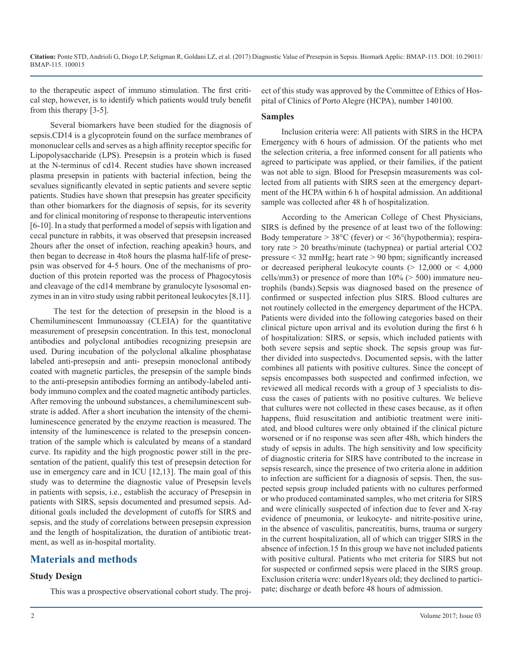**Citation:** Ponte STD, Andrioli G, Diogo LP, Seligman R, Goldani LZ, et al. (2017) Diagnostic Value of Presepsin in Sepsis. Biomark Applic: BMAP-115. DOI: 10.29011/ BMAP-115. 100015

to the therapeutic aspect of immuno stimulation. The first critical step, however, is to identify which patients would truly benefit from this therapy [3-5].

Several biomarkers have been studied for the diagnosis of sepsis.CD14 is a glycoprotein found on the surface membranes of mononuclear cells and serves as a high affinity receptor specific for Lipopolysaccharide (LPS). Presepsin is a protein which is fused at the N-terminus of cd14. Recent studies have shown increased plasma presepsin in patients with bacterial infection, being the sevalues significantly elevated in septic patients and severe septic patients. Studies have shown that presepsin has greater specificity than other biomarkers for the diagnosis of sepsis, for its severity and for clinical monitoring of response to therapeutic interventions [6-10]. In a study that performed a model of sepsis with ligation and cecal puncture in rabbits, it was observed that presepsin increased 2hours after the onset of infection, reaching apeakin3 hours, and then began to decrease in 4to8 hours the plasma half-life of presepsin was observed for 4-5 hours. One of the mechanisms of production of this protein reported was the process of Phagocytosis and cleavage of the cd14 membrane by granulocyte lysosomal enzymes in an in vitro study using rabbit peritoneal leukocytes [8,11].

 The test for the detection of presepsin in the blood is a Chemiluminescent Immunoassay (CLEIA) for the quantitative measurement of presepsin concentration. In this test, monoclonal antibodies and polyclonal antibodies recognizing presepsin are used. During incubation of the polyclonal alkaline phosphatase labeled anti-presepsin and anti- presepsin monoclonal antibody coated with magnetic particles, the presepsin of the sample binds to the anti-presepsin antibodies forming an antibody-labeled antibody immuno complex and the coated magnetic antibody particles. After removing the unbound substances, a chemiluminescent substrate is added. After a short incubation the intensity of the chemiluminescence generated by the enzyme reaction is measured. The intensity of the luminescence is related to the presepsin concentration of the sample which is calculated by means of a standard curve. Its rapidity and the high prognostic power still in the presentation of the patient, qualify this test of presepsin detection for use in emergency care and in ICU [12,13]. The main goal of this study was to determine the diagnostic value of Presepsin levels in patients with sepsis, i.e., establish the accuracy of Presepsin in patients with SIRS, sepsis documented and presumed sepsis. Additional goals included the development of cutoffs for SIRS and sepsis, and the study of correlations between presepsin expression and the length of hospitalization, the duration of antibiotic treatment, as well as in-hospital mortality.

# **Materials and methods**

### **Study Design**

This was a prospective observational cohort study. The proj-

ect of this study was approved by the Committee of Ethics of Hospital of Clinics of Porto Alegre (HCPA), number 140100.

#### **Samples**

Inclusion criteria were: All patients with SIRS in the HCPA Emergency with 6 hours of admission. Of the patients who met the selection criteria, a free informed consent for all patients who agreed to participate was applied, or their families, if the patient was not able to sign. Blood for Presepsin measurements was collected from all patients with SIRS seen at the emergency department of the HCPA within 6 h of hospital admission. An additional sample was collected after 48 h of hospitalization.

According to the American College of Chest Physicians, SIRS is defined by the presence of at least two of the following: Body temperature  $> 38^{\circ}$ C (fever) or  $< 36^{\circ}$ (hypothermia); respiratory rate > 20 breaths/minute (tachypnea) or partial arterial CO2 pressure < 32 mmHg; heart rate > 90 bpm; significantly increased or decreased peripheral leukocyte counts  $(> 12,000$  or  $< 4,000$ cells/mm3) or presence of more than  $10\%$  ( $> 500$ ) immature neutrophils (bands).Sepsis was diagnosed based on the presence of confirmed or suspected infection plus SIRS. Blood cultures are not routinely collected in the emergency department of the HCPA. Patients were divided into the following categories based on their clinical picture upon arrival and its evolution during the first 6 h of hospitalization: SIRS, or sepsis, which included patients with both severe sepsis and septic shock. The sepsis group was further divided into suspectedvs. Documented sepsis, with the latter combines all patients with positive cultures. Since the concept of sepsis encompasses both suspected and confirmed infection, we reviewed all medical records with a group of 3 specialists to discuss the cases of patients with no positive cultures. We believe that cultures were not collected in these cases because, as it often happens, fluid resuscitation and antibiotic treatment were initiated, and blood cultures were only obtained if the clinical picture worsened or if no response was seen after 48h, which hinders the study of sepsis in adults. The high sensitivity and low specificity of diagnostic criteria for SIRS have contributed to the increase in sepsis research, since the presence of two criteria alone in addition to infection are sufficient for a diagnosis of sepsis. Then, the suspected sepsis group included patients with no cultures performed or who produced contaminated samples, who met criteria for SIRS and were clinically suspected of infection due to fever and X-ray evidence of pneumonia, or leukocyte- and nitrite-positive urine, in the absence of vasculitis, pancreatitis, burns, trauma or surgery in the current hospitalization, all of which can trigger SIRS in the absence of infection.15 In this group we have not included patients with positive cultural. Patients who met criteria for SIRS but not for suspected or confirmed sepsis were placed in the SIRS group. Exclusion criteria were: under18years old; they declined to participate; discharge or death before 48 hours of admission.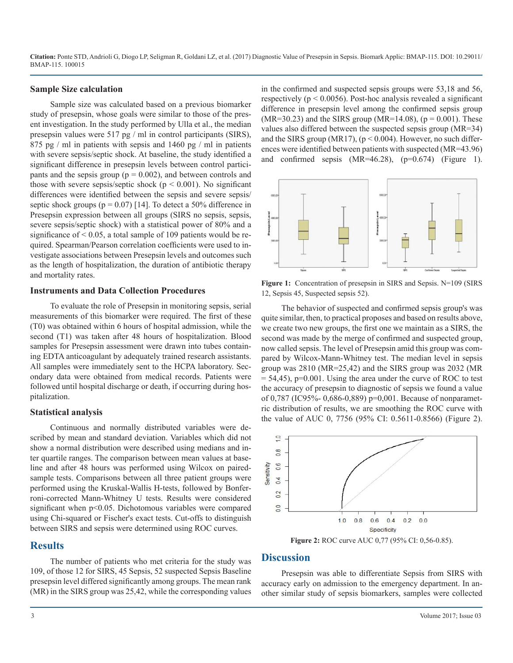**Citation:** Ponte STD, Andrioli G, Diogo LP, Seligman R, Goldani LZ, et al. (2017) Diagnostic Value of Presepsin in Sepsis. Biomark Applic: BMAP-115. DOI: 10.29011/ BMAP-115. 100015

#### **Sample Size calculation**

Sample size was calculated based on a previous biomarker study of presepsin, whose goals were similar to those of the present investigation. In the study performed by Ulla et al., the median presepsin values were 517 pg / ml in control participants (SIRS), 875 pg / ml in patients with sepsis and 1460 pg / ml in patients with severe sepsis/septic shock. At baseline, the study identified a significant difference in presepsin levels between control participants and the sepsis group ( $p = 0.002$ ), and between controls and those with severe sepsis/septic shock ( $p < 0.001$ ). No significant differences were identified between the sepsis and severe sepsis/ septic shock groups ( $p = 0.07$ ) [14]. To detect a 50% difference in Presepsin expression between all groups (SIRS no sepsis, sepsis, severe sepsis/septic shock) with a statistical power of 80% and a significance of  $\leq 0.05$ , a total sample of 109 patients would be required. Spearman/Pearson correlation coefficients were used to investigate associations between Presepsin levels and outcomes such as the length of hospitalization, the duration of antibiotic therapy and mortality rates.

#### **Instruments and Data Collection Procedures**

To evaluate the role of Presepsin in monitoring sepsis, serial measurements of this biomarker were required. The first of these (T0) was obtained within 6 hours of hospital admission, while the second (T1) was taken after 48 hours of hospitalization. Blood samples for Presepsin assessment were drawn into tubes containing EDTA anticoagulant by adequately trained research assistants. All samples were immediately sent to the HCPA laboratory. Secondary data were obtained from medical records. Patients were followed until hospital discharge or death, if occurring during hospitalization.

### **Statistical analysis**

Continuous and normally distributed variables were described by mean and standard deviation. Variables which did not show a normal distribution were described using medians and inter quartile ranges. The comparison between mean values at baseline and after 48 hours was performed using Wilcox on pairedsample tests. Comparisons between all three patient groups were performed using the Kruskal-Wallis H-tests, followed by Bonferroni-corrected Mann-Whitney U tests. Results were considered significant when  $p<0.05$ . Dichotomous variables were compared using Chi-squared or Fischer's exact tests. Cut-offs to distinguish between SIRS and sepsis were determined using ROC curves.

# **Results**

The number of patients who met criteria for the study was 109, of those 12 for SIRS, 45 Sepsis, 52 suspected Sepsis Baseline presepsin level differed significantly among groups. The mean rank (MR) in the SIRS group was 25,42, while the corresponding values in the confirmed and suspected sepsis groups were 53,18 and 56, respectively ( $p \le 0.0056$ ). Post-hoc analysis revealed a significant difference in presepsin level among the confirmed sepsis group  $(MR=30.23)$  and the SIRS group  $(MR=14.08)$ ,  $(p = 0.001)$ . These values also differed between the suspected sepsis group (MR=34) and the SIRS group (MR17),  $(p < 0.004)$ . However, no such differences were identified between patients with suspected (MR=43.96) and confirmed sepsis  $(MR=46.28)$ ,  $(p=0.674)$  (Figure 1).



Figure 1: Concentration of presepsin in SIRS and Sepsis. N=109 (SIRS 12, Sepsis 45, Suspected sepsis 52).

The behavior of suspected and confirmed sepsis group's was quite similar, then, to practical proposes and based on results above, we create two new groups, the first one we maintain as a SIRS, the second was made by the merge of confirmed and suspected group, now called sepsis. The level of Presepsin amid this group was compared by Wilcox-Mann-Whitney test. The median level in sepsis group was 2810 (MR=25,42) and the SIRS group was 2032 (MR  $= 54,45$ ), p=0.001. Using the area under the curve of ROC to test the accuracy of presepsin to diagnostic of sepsis we found a value of 0,787 (IC95%- 0,686-0,889) p=0,001. Because of nonparametric distribution of results, we are smoothing the ROC curve with the value of AUC 0, 7756 (95% CI: 0.5611-0.8566) (Figure 2).



### **Discussion**

Presepsin was able to differentiate Sepsis from SIRS with accuracy early on admission to the emergency department. In another similar study of sepsis biomarkers, samples were collected